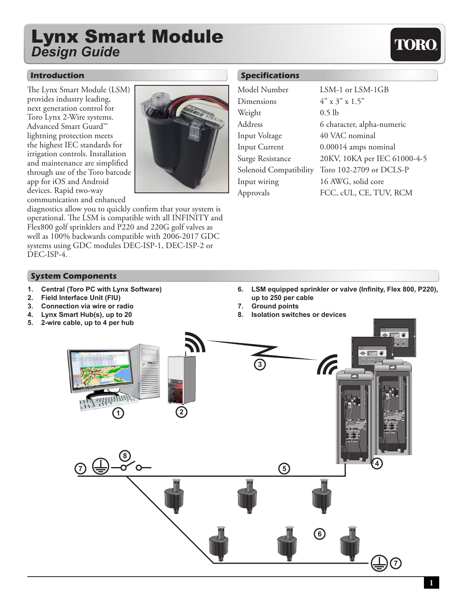# Lynx Smart Module *Design Guide*

#### **Introduction**

The Lynx Smart Module (LSM) provides industry leading, next generation control for Toro Lynx 2-Wire systems. Advanced Smart Guard™ lightning protection meets the highest IEC standards for irrigation controls. Installation and maintenance are simplified through use of the Toro barcode app for iOS and Android devices. Rapid two-way communication and enhanced

**System Components**



diagnostics allow you to quickly confirm that your system is operational. The LSM is compatible with all INFINITY and Flex800 golf sprinklers and P220 and 220G golf valves as well as 100% backwards compatible with 2006-2017 GDC systems using GDC modules DEC-ISP-1, DEC-ISP-2 or DEC-ISP-4.

### **Specifications**

| Model Number           | LSM-1 or LSM-1GB             |
|------------------------|------------------------------|
| Dimensions             | $4" \times 3" \times 1.5"$   |
| Weight                 | $0.5$ lb                     |
| Address                | 6 character, alpha-numeric   |
| Input Voltage          | 40 VAC nominal               |
| <b>Input Current</b>   | 0.00014 amps nominal         |
| Surge Resistance       | 20KV, 10KA per IEC 61000-4-5 |
| Solenoid Compatibility | Toro 102-2709 or DCLS-P      |
| Input wiring           | 16 AWG, solid core           |
| Approvals              | FCC, cUL, CE, TUV, RCM       |
|                        |                              |

## **1. Central (Toro PC with Lynx Software) 2. Field Interface Unit (FIU) 3. Connection via wire or radio 4. Lynx Smart Hub(s), up to 20 5. 2-wire cable, up to 4 per hub 6. LSM equipped sprinkler or valve (Infinity, Flex 800, P220), up to 250 per cable 7. Ground points 8. Isolation switches or devices – + %ADJUST START PAUSE/ SETTINGSMANUAL WATERING – + SETTINGS 3 4 7 5 8 6 7**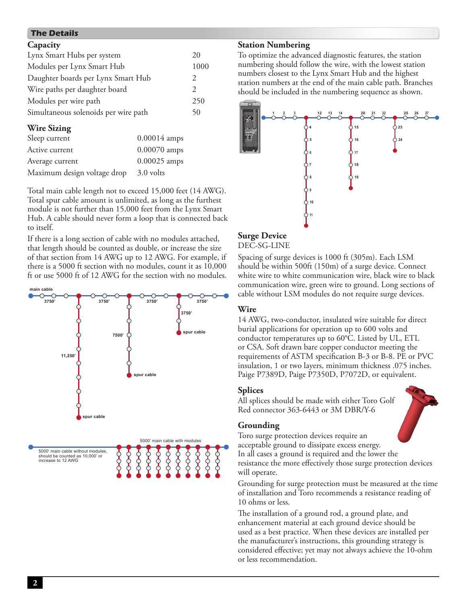## **The Details**

| Capacity                             |                |               |
|--------------------------------------|----------------|---------------|
| Lynx Smart Hubs per system           |                |               |
| Modules per Lynx Smart Hub           |                |               |
| Daughter boards per Lynx Smart Hub   |                | 2             |
| Wire paths per daughter board        |                | $\mathcal{L}$ |
| Modules per wire path                |                | 250           |
| Simultaneous solenoids per wire path |                | 50            |
| <b>Wire Sizing</b>                   |                |               |
| Sleep current                        | $0.00014$ amps |               |
| Active current                       | $0.00070$ amps |               |

Total main cable length not to exceed 15,000 feet (14 AWG). Total spur cable amount is unlimited, as long as the furthest

Average current 0.00025 amps Maximum design voltage drop 3.0 volts

module is not further than 15,000 feet from the Lynx Smart Hub. A cable should never form a loop that is connected back to itself.

If there is a long section of cable with no modules attached, that length should be counted as double, or increase the size of that section from 14 AWG up to 12 AWG. For example, if there is a 5000 ft section with no modules, count it as 10,000 ft or use 5000 ft of 12 AWG for the section with no modules.



### **Station Numbering**

To optimize the advanced diagnostic features, the station numbering should follow the wire, with the lowest station numbers closest to the Lynx Smart Hub and the highest station numbers at the end of the main cable path. Branches should be included in the numbering sequence as shown.



## **Surge Device**

DEC-SG-LINE

Spacing of surge devices is 1000 ft (305m). Each LSM should be within 500ft (150m) of a surge device. Connect white wire to white communication wire, black wire to black communication wire, green wire to ground. Long sections of cable without LSM modules do not require surge devices.

## **Wire**

14 AWG, two-conductor, insulated wire suitable for direct burial applications for operation up to 600 volts and conductor temperatures up to 60°C. Listed by UL, ETL or CSA. Soft drawn bare copper conductor meeting the requirements of ASTM specification B-3 or B-8. PE or PVC insulation, 1 or two layers, minimum thickness .075 inches. Paige P7389D, Paige P7350D, P7072D, or equivalent.

## **Splices**

All splices should be made with either Toro Golf Red connector 363-6443 or 3M DBR/Y-6

## **Grounding**

Toro surge protection devices require an acceptable ground to dissipate excess energy. In all cases a ground is required and the lower the resistance the more effectively those surge protection devices will operate.

Grounding for surge protection must be measured at the time of installation and Toro recommends a resistance reading of 10 ohms or less.

The installation of a ground rod, a ground plate, and enhancement material at each ground device should be used as a best practice. When these devices are installed per the manufacturer's instructions, this grounding strategy is considered effective; yet may not always achieve the 10-ohm or less recommendation.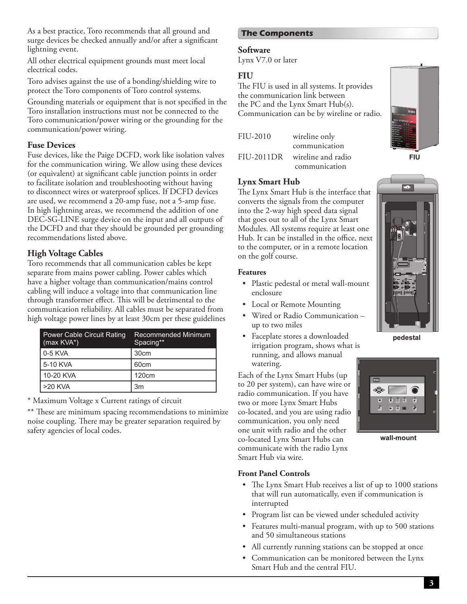As a best practice, Toro recommends that all ground and surge devices be checked annually and/or after a significant lightning event.

All other electrical equipment grounds must meet local electrical codes.

Toro advises against the use of a bonding/shielding wire to protect the Toro components of Toro control systems.

Grounding materials or equipment that is not specified in the Toro installation instructions must not be connected to the Toro communication/power wiring or the grounding for the communication/power wiring.

#### **Fuse Devices**

Fuse devices, like the Paige DCFD, work like isolation valves for the communication wiring. We allow using these devices (or equivalent) at significant cable junction points in order to facilitate isolation and troubleshooting without having to disconnect wires or waterproof splices. If DCFD devices are used, we recommend a 20-amp fuse, not a 5-amp fuse. In high lightning areas, we recommend the addition of one DEC-SG-LINE surge device on the input and all outputs of the DCFD and that they should be grounded per grounding recommendations listed above.

#### **High Voltage Cables**

Toro recommends that all communication cables be kept separate from mains power cabling. Power cables which have a higher voltage than communication/mains control cabling will induce a voltage into that communication line through transformer effect. This will be detrimental to the communication reliability. All cables must be separated from high voltage power lines by at least 30cm per these guidelines

| <b>Power Cable Circuit Rating</b><br>$(max KVA^*)$ | Recommended Minimum<br>Spacing** |
|----------------------------------------------------|----------------------------------|
| $0-5$ KVA                                          | 30 <sub>cm</sub>                 |
| 5-10 KVA                                           | 60cm                             |
| 10-20 KVA                                          | 120 <sub>cm</sub>                |
| $>20$ KVA                                          | 3m                               |

\* Maximum Voltage x Current ratings of circuit

\*\* These are minimum spacing recommendations to minimize noise coupling. There may be greater separation required by safety agencies of local codes.

### **The Components**

#### **Software**

Lynx V7.0 or later

#### **FIU**

The FIU is used in all systems. It provides the communication link between the PC and the Lynx Smart Hub(s). Communication can be by wireline or radio.

| FIU-2010 | wireline only                 |
|----------|-------------------------------|
|          | communication                 |
|          | FIU-2011DR wireline and radio |
|          | communication                 |

#### **Lynx Smart Hub**

The Lynx Smart Hub is the interface that converts the signals from the computer into the 2-way high speed data signal that goes out to all of the Lynx Smart Modules. All systems require at least one Hub. It can be installed in the office, next to the computer, or in a remote location on the golf course.

#### **Features**

- Plastic pedestal or metal wall-mount enclosure
- Local or Remote Mounting
- Wired or Radio Communication up to two miles
- Faceplate stores a downloaded irrigation program, shows what is running, and allows manual watering.

Each of the Lynx Smart Hubs (up to 20 per system), can have wire or radio communication. If you have two or more Lynx Smart Hubs co-located, and you are using radio communication, you only need one unit with radio and the other co-located Lynx Smart Hubs can communicate with the radio Lynx Smart Hub via wire.





**wall-mount**

#### **Front Panel Controls**

- The Lynx Smart Hub receives a list of up to 1000 stations that will run automatically, even if communication is interrupted
- Program list can be viewed under scheduled activity
- Features multi-manual program, with up to 500 stations and 50 simultaneous stations
- All currently running stations can be stopped at once
- Communication can be monitored between the Lynx Smart Hub and the central FIU.